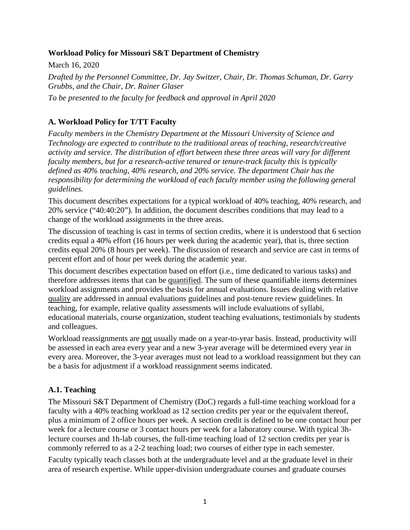#### **Workload Policy for Missouri S&T Department of Chemistry**

March 16, 2020 *Drafted by the Personnel Committee, Dr. Jay Switzer, Chair, Dr. Thomas Schuman, Dr. Garry Grubbs, and the Chair, Dr. Rainer Glaser To be presented to the faculty for feedback and approval in April 2020*

### **A. Workload Policy for T/TT Faculty**

*Faculty members in the Chemistry Department at the Missouri University of Science and Technology are expected to contribute to the traditional areas of teaching, research/creative activity and service. The distribution of effort between these three areas will vary for different faculty members, but for a research-active tenured or tenure-track faculty this is typically defined as 40% teaching, 40% research, and 20% service. The department Chair has the responsibility for determining the workload of each faculty member using the following general guidelines.* 

This document describes expectations for a typical workload of 40% teaching, 40% research, and 20% service ("40:40:20"). In addition, the document describes conditions that may lead to a change of the workload assignments in the three areas.

The discussion of teaching is cast in terms of section credits, where it is understood that 6 section credits equal a 40% effort (16 hours per week during the academic year), that is, three section credits equal 20% (8 hours per week). The discussion of research and service are cast in terms of percent effort and of hour per week during the academic year.

This document describes expectation based on effort (i.e., time dedicated to various tasks) and therefore addresses items that can be quantified. The sum of these quantifiable items determines workload assignments and provides the basis for annual evaluations. Issues dealing with relative quality are addressed in annual evaluations guidelines and post-tenure review guidelines. In teaching, for example, relative quality assessments will include evaluations of syllabi, educational materials, course organization, student teaching evaluations, testimonials by students and colleagues.

Workload reassignments are not usually made on a year-to-year basis. Instead, productivity will be assessed in each area every year and a new 3-year average will be determined every year in every area. Moreover, the 3-year averages must not lead to a workload reassignment but they can be a basis for adjustment if a workload reassignment seems indicated.

# **A.1. Teaching**

The Missouri S&T Department of Chemistry (DoC) regards a full-time teaching workload for a faculty with a 40% teaching workload as 12 section credits per year or the equivalent thereof, plus a minimum of 2 office hours per week. A section credit is defined to be one contact hour per week for a lecture course or 3 contact hours per week for a laboratory course. With typical 3hlecture courses and 1h-lab courses, the full-time teaching load of 12 section credits per year is commonly referred to as a 2-2 teaching load; two courses of either type in each semester.

Faculty typically teach classes both at the undergraduate level and at the graduate level in their area of research expertise. While upper-division undergraduate courses and graduate courses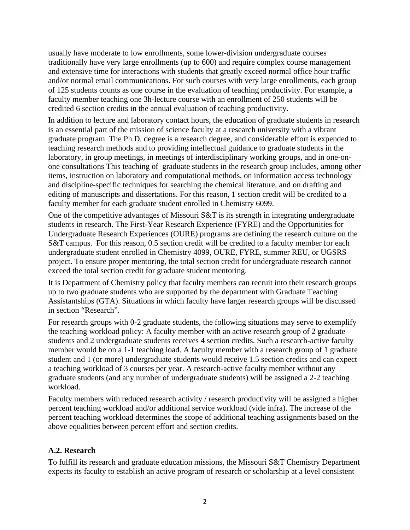usually have moderate to low enrollments, some lower-division undergraduate courses traditionally have very large enrollments (up to 600) and require complex course management and extensive time for interactions with students that greatly exceed normal office hour traffic and/or normal email communications. For such courses with very large enrollments, each group of 125 students counts as one course in the evaluation of teaching productivity. For example, a faculty member teaching one 3h-lecture course with an enrollment of 250 students will be credited 6 section credits in the annual evaluation of teaching productivity.

In addition to lecture and laboratory contact hours, the education of graduate students in research is an essential part of the mission of science faculty at a research university with a vibrant graduate program. The Ph.D. degree is a research degree, and considerable effort is expended to teaching research methods and to providing intellectual guidance to graduate students in the laboratory, in group meetings, in meetings of interdisciplinary working groups, and in one-onone consultations This teaching of graduate students in the research group includes, among other items, instruction on laboratory and computational methods, on information access technology and discipline-specific techniques for searching the chemical literature, and on drafting and editing of manuscripts and dissertations. For this reason, 1 section credit will be credited to a faculty member for each graduate student enrolled in Chemistry 6099.

One of the competitive advantages of Missouri S&T is its strength in integrating undergraduate students in research. The First-Year Research Experience (FYRE) and the Opportunities for Undergraduate Research Experiences (OURE) programs are defining the research culture on the S&T campus. For this reason, 0.5 section credit will be credited to a faculty member for each undergraduate student enrolled in Chemistry 4099, OURE, FYRE, summer REU, or UGSRS project. To ensure proper mentoring, the total section credit for undergraduate research cannot exceed the total section credit for graduate student mentoring.

It is Department of Chemistry policy that faculty members can recruit into their research groups up to two graduate students who are supported by the department with Graduate Teaching Assistantships (GTA). Situations in which faculty have larger research groups will be discussed in section "Research".

For research groups with 0-2 graduate students, the following situations may serve to exemplify the teaching workload policy: A faculty member with an active research group of 2 graduate students and 2 undergraduate students receives 4 section credits. Such a research-active faculty member would be on a 1-1 teaching load. A faculty member with a research group of 1 graduate student and 1 (or more) undergraduate students would receive 1.5 section credits and can expect a teaching workload of 3 courses per year. A research-active faculty member without any graduate students (and any number of undergraduate students) will be assigned a 2-2 teaching workload.

Faculty members with reduced research activity / research productivity will be assigned a higher percent teaching workload and/or additional service workload (vide infra). The increase of the percent teaching workload determines the scope of additional teaching assignments based on the above equalities between percent effort and section credits.

#### **A.2. Research**

To fulfill its research and graduate education missions, the Missouri S&T Chemistry Department expects its faculty to establish an active program of research or scholarship at a level consistent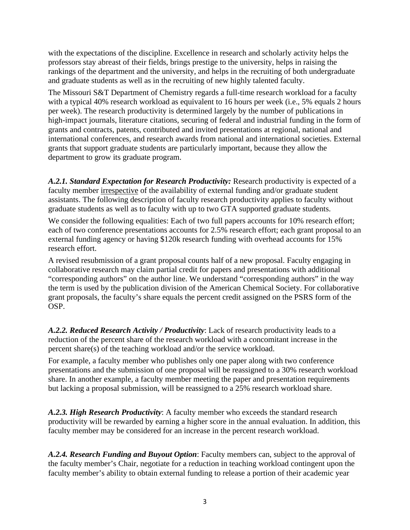with the expectations of the discipline. Excellence in research and scholarly activity helps the professors stay abreast of their fields, brings prestige to the university, helps in raising the rankings of the department and the university, and helps in the recruiting of both undergraduate and graduate students as well as in the recruiting of new highly talented faculty.

The Missouri S&T Department of Chemistry regards a full-time research workload for a faculty with a typical 40% research workload as equivalent to 16 hours per week (i.e., 5% equals 2 hours per week). The research productivity is determined largely by the number of publications in high-impact journals, literature citations, securing of federal and industrial funding in the form of grants and contracts, patents, contributed and invited presentations at regional, national and international conferences, and research awards from national and international societies. External grants that support graduate students are particularly important, because they allow the department to grow its graduate program.

*A.2.1. Standard Expectation for Research Productivity:* Research productivity is expected of a faculty member irrespective of the availability of external funding and/or graduate student assistants. The following description of faculty research productivity applies to faculty without graduate students as well as to faculty with up to two GTA supported graduate students.

We consider the following equalities: Each of two full papers accounts for 10% research effort; each of two conference presentations accounts for 2.5% research effort; each grant proposal to an external funding agency or having \$120k research funding with overhead accounts for 15% research effort.

A revised resubmission of a grant proposal counts half of a new proposal. Faculty engaging in collaborative research may claim partial credit for papers and presentations with additional "corresponding authors" on the author line. We understand "corresponding authors" in the way the term is used by the publication division of the American Chemical Society. For collaborative grant proposals, the faculty's share equals the percent credit assigned on the PSRS form of the OSP.

*A.2.2. Reduced Research Activity / Productivity*: Lack of research productivity leads to a reduction of the percent share of the research workload with a concomitant increase in the percent share(s) of the teaching workload and/or the service workload.

For example, a faculty member who publishes only one paper along with two conference presentations and the submission of one proposal will be reassigned to a 30% research workload share. In another example, a faculty member meeting the paper and presentation requirements but lacking a proposal submission, will be reassigned to a 25% research workload share.

*A.2.3. High Research Productivity*: A faculty member who exceeds the standard research productivity will be rewarded by earning a higher score in the annual evaluation. In addition, this faculty member may be considered for an increase in the percent research workload.

*A.2.4. Research Funding and Buyout Option*: Faculty members can, subject to the approval of the faculty member's Chair, negotiate for a reduction in teaching workload contingent upon the faculty member's ability to obtain external funding to release a portion of their academic year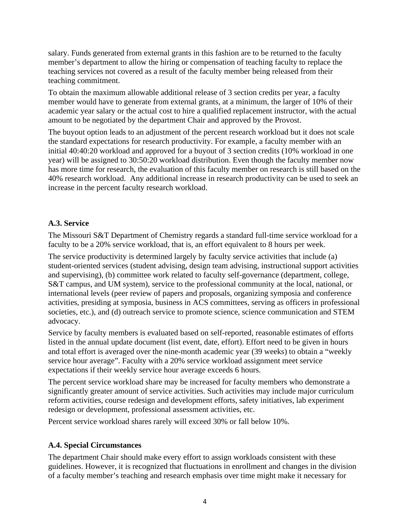salary. Funds generated from external grants in this fashion are to be returned to the faculty member's department to allow the hiring or compensation of teaching faculty to replace the teaching services not covered as a result of the faculty member being released from their teaching commitment.

To obtain the maximum allowable additional release of 3 section credits per year, a faculty member would have to generate from external grants, at a minimum, the larger of 10% of their academic year salary or the actual cost to hire a qualified replacement instructor, with the actual amount to be negotiated by the department Chair and approved by the Provost.

The buyout option leads to an adjustment of the percent research workload but it does not scale the standard expectations for research productivity. For example, a faculty member with an initial 40:40:20 workload and approved for a buyout of 3 section credits (10% workload in one year) will be assigned to 30:50:20 workload distribution. Even though the faculty member now has more time for research, the evaluation of this faculty member on research is still based on the 40% research workload. Any additional increase in research productivity can be used to seek an increase in the percent faculty research workload.

### **A.3. Service**

The Missouri S&T Department of Chemistry regards a standard full-time service workload for a faculty to be a 20% service workload, that is, an effort equivalent to 8 hours per week.

The service productivity is determined largely by faculty service activities that include (a) student-oriented services (student advising, design team advising, instructional support activities and supervising), (b) committee work related to faculty self-governance (department, college, S&T campus, and UM system), service to the professional community at the local, national, or international levels (peer review of papers and proposals, organizing symposia and conference activities, presiding at symposia, business in ACS committees, serving as officers in professional societies, etc.), and (d) outreach service to promote science, science communication and STEM advocacy.

Service by faculty members is evaluated based on self-reported, reasonable estimates of efforts listed in the annual update document (list event, date, effort). Effort need to be given in hours and total effort is averaged over the nine-month academic year (39 weeks) to obtain a "weekly service hour average". Faculty with a 20% service workload assignment meet service expectations if their weekly service hour average exceeds 6 hours.

The percent service workload share may be increased for faculty members who demonstrate a significantly greater amount of service activities. Such activities may include major curriculum reform activities, course redesign and development efforts, safety initiatives, lab experiment redesign or development, professional assessment activities, etc.

Percent service workload shares rarely will exceed 30% or fall below 10%.

#### **A.4. Special Circumstances**

The department Chair should make every effort to assign workloads consistent with these guidelines. However, it is recognized that fluctuations in enrollment and changes in the division of a faculty member's teaching and research emphasis over time might make it necessary for